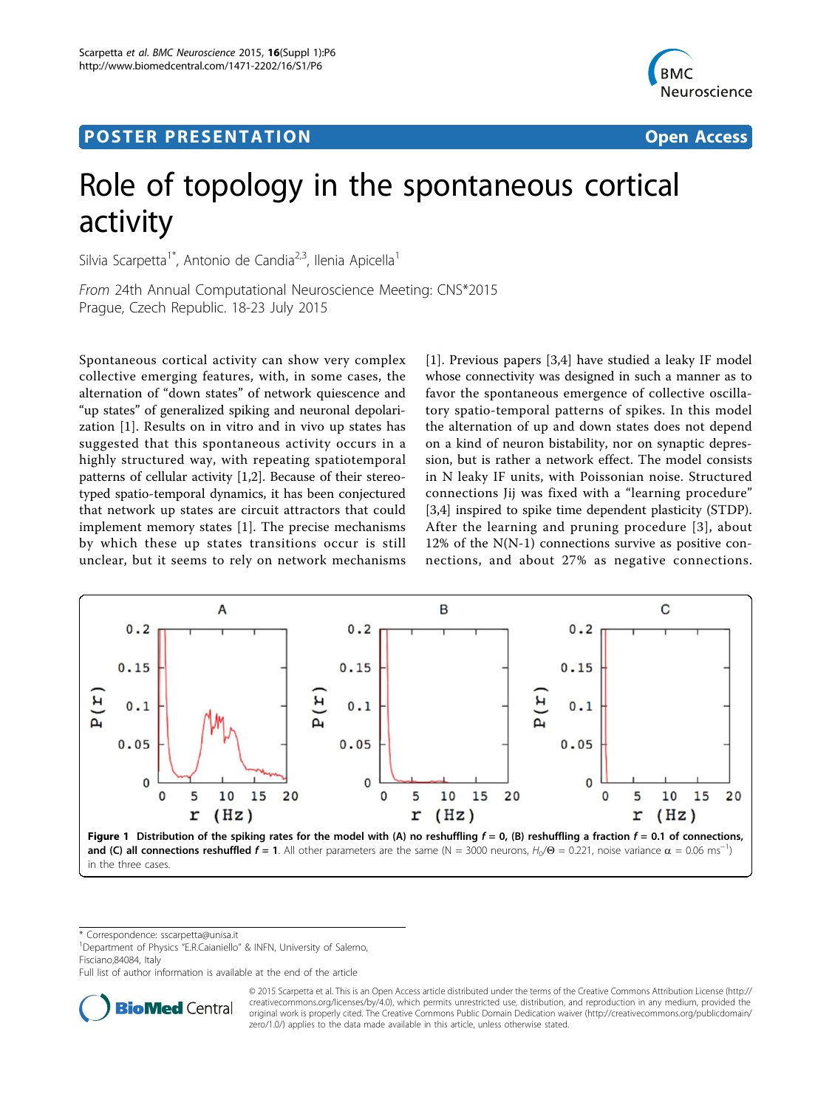## <span id="page-0-0"></span>Post Experimental Police in the St English Police in the St English Police in the St English Police in the St<br>Police in the St English Police in the St English Police in the St English Police in the St English Police in



# Role of topology in the spontaneous cortical activity

Silvia Scarpetta<sup>1\*</sup>, Antonio de Candia<sup>2,3</sup>, llenia Apicella<sup>1</sup>

From 24th Annual Computational Neuroscience Meeting: CNS\*2015 Prague, Czech Republic. 18-23 July 2015

Spontaneous cortical activity can show very complex collective emerging features, with, in some cases, the alternation of "down states" of network quiescence and "up states" of generalized spiking and neuronal depolarization [[1](#page-1-0)]. Results on in vitro and in vivo up states has suggested that this spontaneous activity occurs in a highly structured way, with repeating spatiotemporal patterns of cellular activity [[1,2\]](#page-1-0). Because of their stereotyped spatio-temporal dynamics, it has been conjectured that network up states are circuit attractors that could implement memory states [[1\]](#page-1-0). The precise mechanisms by which these up states transitions occur is still unclear, but it seems to rely on network mechanisms

[[1\]](#page-1-0). Previous papers [\[3,4](#page-1-0)] have studied a leaky IF model whose connectivity was designed in such a manner as to favor the spontaneous emergence of collective oscillatory spatio-temporal patterns of spikes. In this model the alternation of up and down states does not depend on a kind of neuron bistability, nor on synaptic depression, but is rather a network effect. The model consists in N leaky IF units, with Poissonian noise. Structured connections Jij was fixed with a "learning procedure" [[3,4\]](#page-1-0) inspired to spike time dependent plasticity (STDP). After the learning and pruning procedure [[3](#page-1-0)], about  $12\%$  of the N(N-1) connections survive as positive connections, and about 27% as negative connections.



\* Correspondence: [sscarpetta@unisa.it](mailto:sscarpetta@unisa.it)

<sup>1</sup>Department of Physics "E.R.Caianiello" & INFN, University of Salerno, Fisciano,84084, Italy

Full list of author information is available at the end of the article



© 2015 Scarpetta et al. This is an Open Access article distributed under the terms of the Creative Commons Attribution License [\(http://](http://creativecommons.org/licenses/by/4.0) [creativecommons.org/licenses/by/4.0](http://creativecommons.org/licenses/by/4.0)), which permits unrestricted use, distribution, and reproduction in any medium, provided the original work is properly cited. The Creative Commons Public Domain Dedication waiver ([http://creativecommons.org/publicdomain/](http://creativecommons.org/publicdomain/zero/1.0/) [zero/1.0/](http://creativecommons.org/publicdomain/zero/1.0/)) applies to the data made available in this article, unless otherwise stated.